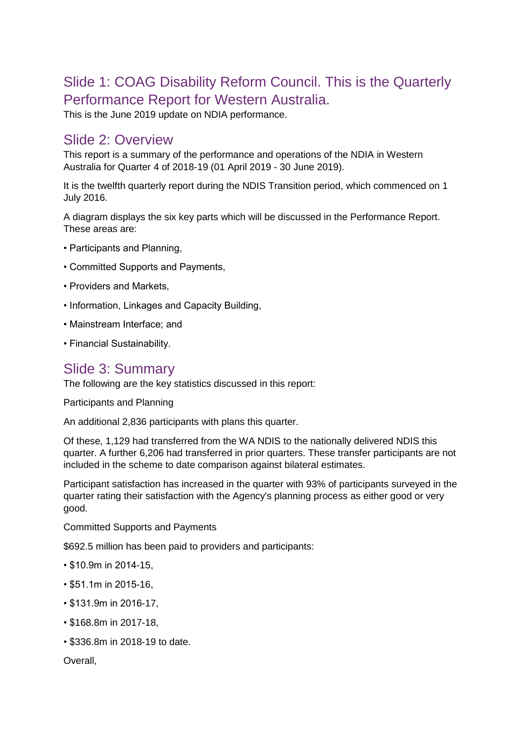# Slide 1: COAG Disability Reform Council. This is the Quarterly Performance Report for Western Australia.

This is the June 2019 update on NDIA performance.

#### Slide 2: Overview

This report is a summary of the performance and operations of the NDIA in Western Australia for Quarter 4 of 2018-19 (01 April 2019 - 30 June 2019).

It is the twelfth quarterly report during the NDIS Transition period, which commenced on 1 July 2016.

A diagram displays the six key parts which will be discussed in the Performance Report. These areas are:

- Participants and Planning,
- Committed Supports and Payments,
- Providers and Markets,
- Information, Linkages and Capacity Building,
- Mainstream Interface; and
- Financial Sustainability.

#### Slide 3: Summary

The following are the key statistics discussed in this report:

Participants and Planning

An additional 2,836 participants with plans this quarter.

Of these, 1,129 had transferred from the WA NDIS to the nationally delivered NDIS this quarter. A further 6,206 had transferred in prior quarters. These transfer participants are not included in the scheme to date comparison against bilateral estimates.

Participant satisfaction has increased in the quarter with 93% of participants surveyed in the quarter rating their satisfaction with the Agency's planning process as either good or very good.

Committed Supports and Payments

\$692.5 million has been paid to providers and participants:

- \$10.9m in 2014-15,
- \$51.1m in 2015-16,
- \$131.9m in 2016-17,
- \$168.8m in 2017-18,
- \$336.8m in 2018-19 to date.

Overall,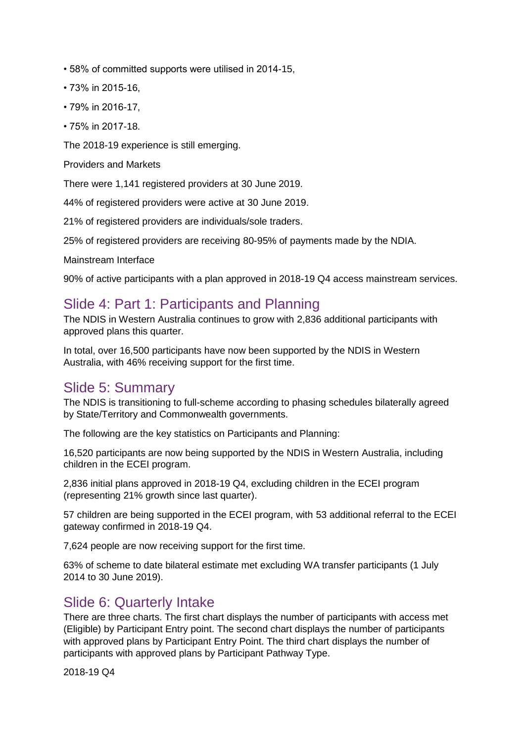- 58% of committed supports were utilised in 2014-15,
- 73% in 2015-16,
- 79% in 2016-17,
- 75% in 2017-18.

The 2018-19 experience is still emerging.

Providers and Markets

There were 1,141 registered providers at 30 June 2019.

44% of registered providers were active at 30 June 2019.

21% of registered providers are individuals/sole traders.

25% of registered providers are receiving 80-95% of payments made by the NDIA.

Mainstream Interface

90% of active participants with a plan approved in 2018-19 Q4 access mainstream services.

## Slide 4: Part 1: Participants and Planning

The NDIS in Western Australia continues to grow with 2,836 additional participants with approved plans this quarter.

In total, over 16,500 participants have now been supported by the NDIS in Western Australia, with 46% receiving support for the first time.

#### Slide 5: Summary

The NDIS is transitioning to full-scheme according to phasing schedules bilaterally agreed by State/Territory and Commonwealth governments.

The following are the key statistics on Participants and Planning:

16,520 participants are now being supported by the NDIS in Western Australia, including children in the ECEI program.

2,836 initial plans approved in 2018-19 Q4, excluding children in the ECEI program (representing 21% growth since last quarter).

57 children are being supported in the ECEI program, with 53 additional referral to the ECEI gateway confirmed in 2018-19 Q4.

7,624 people are now receiving support for the first time.

63% of scheme to date bilateral estimate met excluding WA transfer participants (1 July 2014 to 30 June 2019).

#### Slide 6: Quarterly Intake

There are three charts. The first chart displays the number of participants with access met (Eligible) by Participant Entry point. The second chart displays the number of participants with approved plans by Participant Entry Point. The third chart displays the number of participants with approved plans by Participant Pathway Type.

2018-19 Q4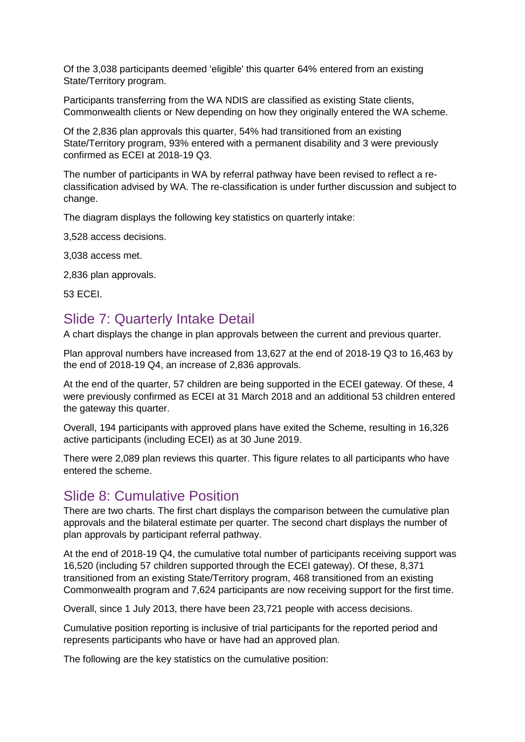Of the 3,038 participants deemed 'eligible' this quarter 64% entered from an existing State/Territory program.

Participants transferring from the WA NDIS are classified as existing State clients, Commonwealth clients or New depending on how they originally entered the WA scheme.

Of the 2,836 plan approvals this quarter, 54% had transitioned from an existing State/Territory program, 93% entered with a permanent disability and 3 were previously confirmed as ECEI at 2018-19 Q3.

The number of participants in WA by referral pathway have been revised to reflect a reclassification advised by WA. The re-classification is under further discussion and subject to change.

The diagram displays the following key statistics on quarterly intake:

3,528 access decisions.

3,038 access met.

2,836 plan approvals.

53 ECEI.

#### Slide 7: Quarterly Intake Detail

A chart displays the change in plan approvals between the current and previous quarter.

Plan approval numbers have increased from 13,627 at the end of 2018-19 Q3 to 16,463 by the end of 2018-19 Q4, an increase of 2,836 approvals.

At the end of the quarter, 57 children are being supported in the ECEI gateway. Of these, 4 were previously confirmed as ECEI at 31 March 2018 and an additional 53 children entered the gateway this quarter.

Overall, 194 participants with approved plans have exited the Scheme, resulting in 16,326 active participants (including ECEI) as at 30 June 2019.

There were 2,089 plan reviews this quarter. This figure relates to all participants who have entered the scheme.

#### Slide 8: Cumulative Position

There are two charts. The first chart displays the comparison between the cumulative plan approvals and the bilateral estimate per quarter. The second chart displays the number of plan approvals by participant referral pathway.

At the end of 2018-19 Q4, the cumulative total number of participants receiving support was 16,520 (including 57 children supported through the ECEI gateway). Of these, 8,371 transitioned from an existing State/Territory program, 468 transitioned from an existing Commonwealth program and 7,624 participants are now receiving support for the first time.

Overall, since 1 July 2013, there have been 23,721 people with access decisions.

Cumulative position reporting is inclusive of trial participants for the reported period and represents participants who have or have had an approved plan.

The following are the key statistics on the cumulative position: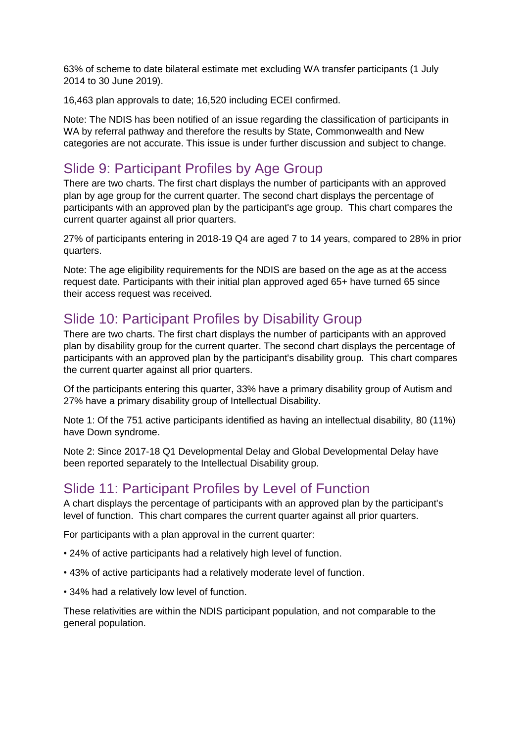63% of scheme to date bilateral estimate met excluding WA transfer participants (1 July 2014 to 30 June 2019).

16,463 plan approvals to date; 16,520 including ECEI confirmed.

Note: The NDIS has been notified of an issue regarding the classification of participants in WA by referral pathway and therefore the results by State, Commonwealth and New categories are not accurate. This issue is under further discussion and subject to change.

## Slide 9: Participant Profiles by Age Group

There are two charts. The first chart displays the number of participants with an approved plan by age group for the current quarter. The second chart displays the percentage of participants with an approved plan by the participant's age group. This chart compares the current quarter against all prior quarters.

27% of participants entering in 2018-19 Q4 are aged 7 to 14 years, compared to 28% in prior quarters.

Note: The age eligibility requirements for the NDIS are based on the age as at the access request date. Participants with their initial plan approved aged 65+ have turned 65 since their access request was received.

## Slide 10: Participant Profiles by Disability Group

There are two charts. The first chart displays the number of participants with an approved plan by disability group for the current quarter. The second chart displays the percentage of participants with an approved plan by the participant's disability group. This chart compares the current quarter against all prior quarters.

Of the participants entering this quarter, 33% have a primary disability group of Autism and 27% have a primary disability group of Intellectual Disability.

Note 1: Of the 751 active participants identified as having an intellectual disability, 80 (11%) have Down syndrome.

Note 2: Since 2017-18 Q1 Developmental Delay and Global Developmental Delay have been reported separately to the Intellectual Disability group.

## Slide 11: Participant Profiles by Level of Function

A chart displays the percentage of participants with an approved plan by the participant's level of function. This chart compares the current quarter against all prior quarters.

For participants with a plan approval in the current quarter:

- 24% of active participants had a relatively high level of function.
- 43% of active participants had a relatively moderate level of function.
- 34% had a relatively low level of function.

These relativities are within the NDIS participant population, and not comparable to the general population.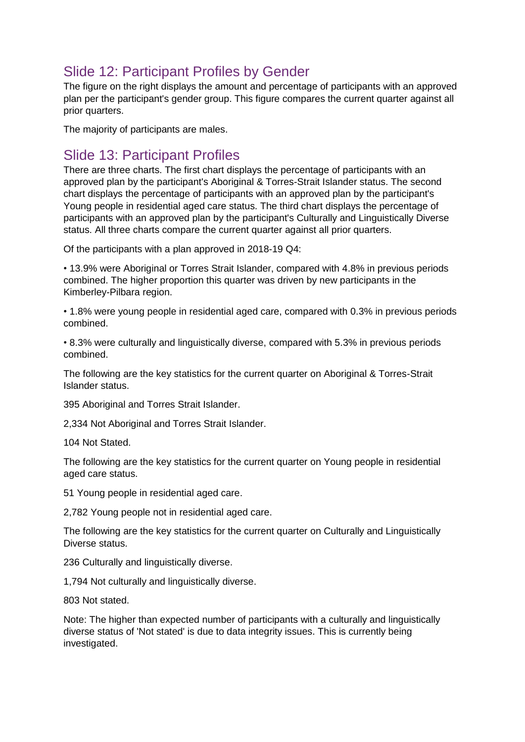# Slide 12: Participant Profiles by Gender

The figure on the right displays the amount and percentage of participants with an approved plan per the participant's gender group. This figure compares the current quarter against all prior quarters.

The majority of participants are males.

#### Slide 13: Participant Profiles

There are three charts. The first chart displays the percentage of participants with an approved plan by the participant's Aboriginal & Torres-Strait Islander status. The second chart displays the percentage of participants with an approved plan by the participant's Young people in residential aged care status. The third chart displays the percentage of participants with an approved plan by the participant's Culturally and Linguistically Diverse status. All three charts compare the current quarter against all prior quarters.

Of the participants with a plan approved in 2018-19 Q4:

• 13.9% were Aboriginal or Torres Strait Islander, compared with 4.8% in previous periods combined. The higher proportion this quarter was driven by new participants in the Kimberley-Pilbara region.

• 1.8% were young people in residential aged care, compared with 0.3% in previous periods combined.

• 8.3% were culturally and linguistically diverse, compared with 5.3% in previous periods combined.

The following are the key statistics for the current quarter on Aboriginal & Torres-Strait Islander status.

395 Aboriginal and Torres Strait Islander.

2,334 Not Aboriginal and Torres Strait Islander.

104 Not Stated.

The following are the key statistics for the current quarter on Young people in residential aged care status.

51 Young people in residential aged care.

2,782 Young people not in residential aged care.

The following are the key statistics for the current quarter on Culturally and Linguistically Diverse status.

236 Culturally and linguistically diverse.

1,794 Not culturally and linguistically diverse.

803 Not stated.

Note: The higher than expected number of participants with a culturally and linguistically diverse status of 'Not stated' is due to data integrity issues. This is currently being investigated.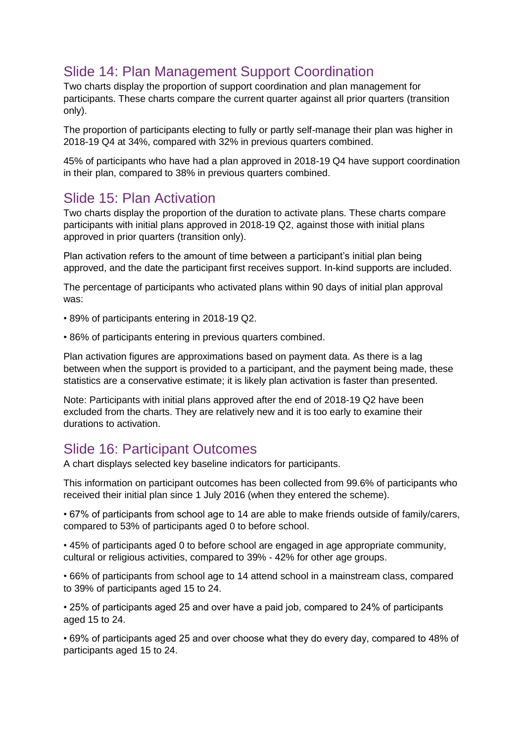# Slide 14: Plan Management Support Coordination

Two charts display the proportion of support coordination and plan management for participants. These charts compare the current quarter against all prior quarters (transition only).

The proportion of participants electing to fully or partly self-manage their plan was higher in 2018-19 Q4 at 34%, compared with 32% in previous quarters combined.

45% of participants who have had a plan approved in 2018-19 Q4 have support coordination in their plan, compared to 38% in previous quarters combined.

## Slide 15: Plan Activation

Two charts display the proportion of the duration to activate plans. These charts compare participants with initial plans approved in 2018-19 Q2, against those with initial plans approved in prior quarters (transition only).

Plan activation refers to the amount of time between a participant's initial plan being approved, and the date the participant first receives support. In-kind supports are included.

The percentage of participants who activated plans within 90 days of initial plan approval was:

- 89% of participants entering in 2018-19 Q2.
- 86% of participants entering in previous quarters combined.

Plan activation figures are approximations based on payment data. As there is a lag between when the support is provided to a participant, and the payment being made, these statistics are a conservative estimate; it is likely plan activation is faster than presented.

Note: Participants with initial plans approved after the end of 2018-19 Q2 have been excluded from the charts. They are relatively new and it is too early to examine their durations to activation.

## Slide 16: Participant Outcomes

A chart displays selected key baseline indicators for participants.

This information on participant outcomes has been collected from 99.6% of participants who received their initial plan since 1 July 2016 (when they entered the scheme).

• 67% of participants from school age to 14 are able to make friends outside of family/carers, compared to 53% of participants aged 0 to before school.

• 45% of participants aged 0 to before school are engaged in age appropriate community, cultural or religious activities, compared to 39% - 42% for other age groups.

• 66% of participants from school age to 14 attend school in a mainstream class, compared to 39% of participants aged 15 to 24.

• 25% of participants aged 25 and over have a paid job, compared to 24% of participants aged 15 to 24.

• 69% of participants aged 25 and over choose what they do every day, compared to 48% of participants aged 15 to 24.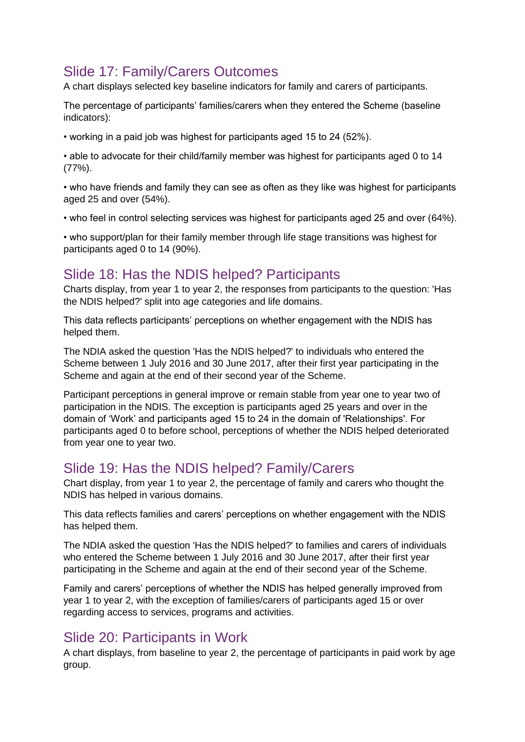# Slide 17: Family/Carers Outcomes

A chart displays selected key baseline indicators for family and carers of participants.

The percentage of participants' families/carers when they entered the Scheme (baseline indicators):

• working in a paid job was highest for participants aged 15 to 24 (52%).

• able to advocate for their child/family member was highest for participants aged 0 to 14 (77%).

• who have friends and family they can see as often as they like was highest for participants aged 25 and over (54%).

• who feel in control selecting services was highest for participants aged 25 and over (64%).

• who support/plan for their family member through life stage transitions was highest for participants aged 0 to 14 (90%).

## Slide 18: Has the NDIS helped? Participants

Charts display, from year 1 to year 2, the responses from participants to the question: 'Has the NDIS helped?' split into age categories and life domains.

This data reflects participants' perceptions on whether engagement with the NDIS has helped them.

The NDIA asked the question 'Has the NDIS helped?' to individuals who entered the Scheme between 1 July 2016 and 30 June 2017, after their first year participating in the Scheme and again at the end of their second year of the Scheme.

Participant perceptions in general improve or remain stable from year one to year two of participation in the NDIS. The exception is participants aged 25 years and over in the domain of 'Work' and participants aged 15 to 24 in the domain of 'Relationships'. For participants aged 0 to before school, perceptions of whether the NDIS helped deteriorated from year one to year two.

## Slide 19: Has the NDIS helped? Family/Carers

Chart display, from year 1 to year 2, the percentage of family and carers who thought the NDIS has helped in various domains.

This data reflects families and carers' perceptions on whether engagement with the NDIS has helped them.

The NDIA asked the question 'Has the NDIS helped?' to families and carers of individuals who entered the Scheme between 1 July 2016 and 30 June 2017, after their first year participating in the Scheme and again at the end of their second year of the Scheme.

Family and carers' perceptions of whether the NDIS has helped generally improved from year 1 to year 2, with the exception of families/carers of participants aged 15 or over regarding access to services, programs and activities.

# Slide 20: Participants in Work

A chart displays, from baseline to year 2, the percentage of participants in paid work by age group.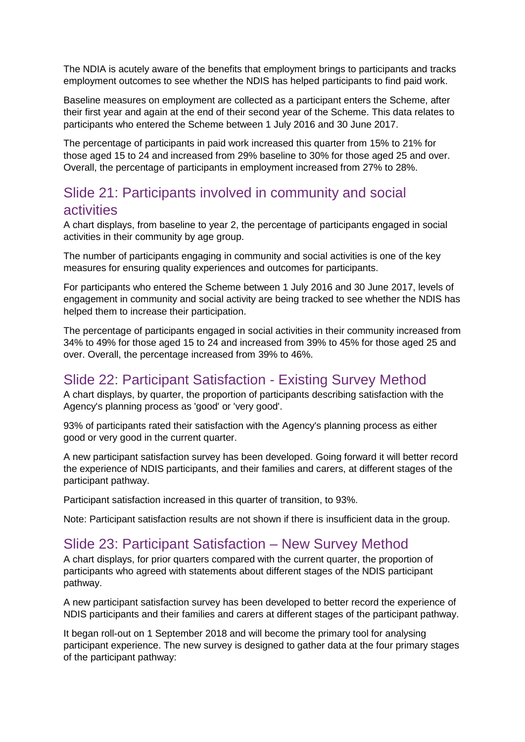The NDIA is acutely aware of the benefits that employment brings to participants and tracks employment outcomes to see whether the NDIS has helped participants to find paid work.

Baseline measures on employment are collected as a participant enters the Scheme, after their first year and again at the end of their second year of the Scheme. This data relates to participants who entered the Scheme between 1 July 2016 and 30 June 2017.

The percentage of participants in paid work increased this quarter from 15% to 21% for those aged 15 to 24 and increased from 29% baseline to 30% for those aged 25 and over. Overall, the percentage of participants in employment increased from 27% to 28%.

# Slide 21: Participants involved in community and social activities

A chart displays, from baseline to year 2, the percentage of participants engaged in social activities in their community by age group.

The number of participants engaging in community and social activities is one of the key measures for ensuring quality experiences and outcomes for participants.

For participants who entered the Scheme between 1 July 2016 and 30 June 2017, levels of engagement in community and social activity are being tracked to see whether the NDIS has helped them to increase their participation.

The percentage of participants engaged in social activities in their community increased from 34% to 49% for those aged 15 to 24 and increased from 39% to 45% for those aged 25 and over. Overall, the percentage increased from 39% to 46%.

## Slide 22: Participant Satisfaction - Existing Survey Method

A chart displays, by quarter, the proportion of participants describing satisfaction with the Agency's planning process as 'good' or 'very good'.

93% of participants rated their satisfaction with the Agency's planning process as either good or very good in the current quarter.

A new participant satisfaction survey has been developed. Going forward it will better record the experience of NDIS participants, and their families and carers, at different stages of the participant pathway.

Participant satisfaction increased in this quarter of transition, to 93%.

Note: Participant satisfaction results are not shown if there is insufficient data in the group.

#### Slide 23: Participant Satisfaction – New Survey Method

A chart displays, for prior quarters compared with the current quarter, the proportion of participants who agreed with statements about different stages of the NDIS participant pathway.

A new participant satisfaction survey has been developed to better record the experience of NDIS participants and their families and carers at different stages of the participant pathway.

It began roll-out on 1 September 2018 and will become the primary tool for analysing participant experience. The new survey is designed to gather data at the four primary stages of the participant pathway: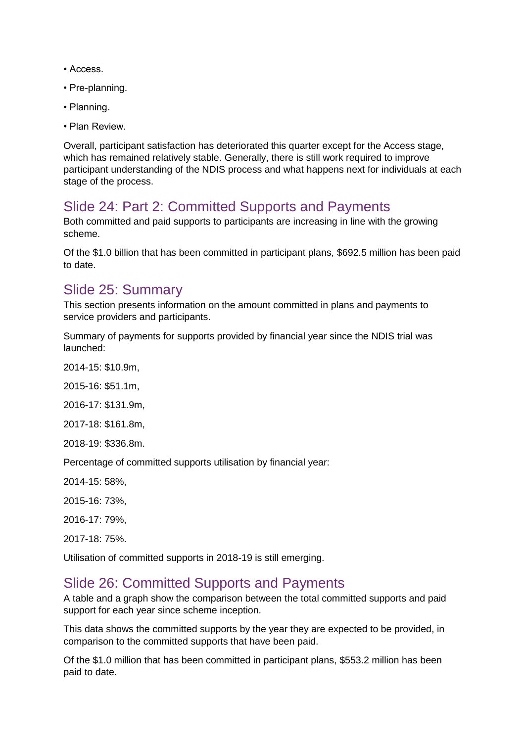- Access.
- Pre-planning.
- Planning.
- Plan Review.

Overall, participant satisfaction has deteriorated this quarter except for the Access stage, which has remained relatively stable. Generally, there is still work required to improve participant understanding of the NDIS process and what happens next for individuals at each stage of the process.

# Slide 24: Part 2: Committed Supports and Payments

Both committed and paid supports to participants are increasing in line with the growing scheme.

Of the \$1.0 billion that has been committed in participant plans, \$692.5 million has been paid to date.

## Slide 25: Summary

This section presents information on the amount committed in plans and payments to service providers and participants.

Summary of payments for supports provided by financial year since the NDIS trial was launched:

2014-15: \$10.9m,

2015-16: \$51.1m,

2016-17: \$131.9m,

2017-18: \$161.8m,

2018-19: \$336.8m.

Percentage of committed supports utilisation by financial year:

2014-15: 58%,

2015-16: 73%,

2016-17: 79%,

2017-18: 75%.

Utilisation of committed supports in 2018-19 is still emerging.

#### Slide 26: Committed Supports and Payments

A table and a graph show the comparison between the total committed supports and paid support for each year since scheme inception.

This data shows the committed supports by the year they are expected to be provided, in comparison to the committed supports that have been paid.

Of the \$1.0 million that has been committed in participant plans, \$553.2 million has been paid to date.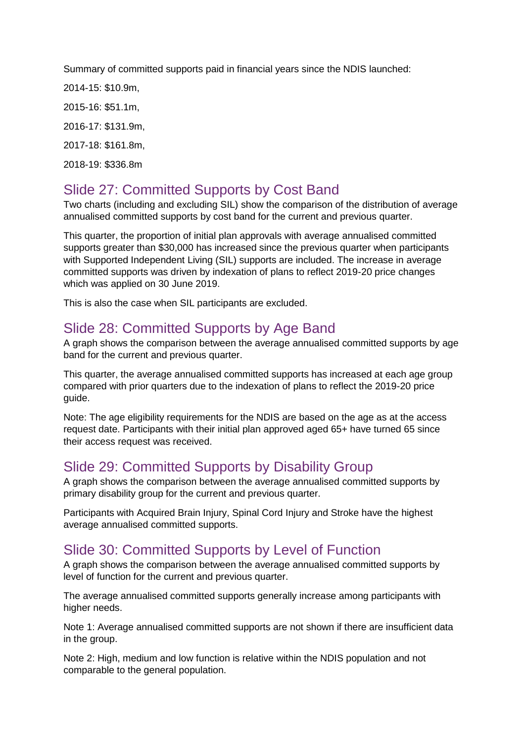Summary of committed supports paid in financial years since the NDIS launched:

2014-15: \$10.9m,

2015-16: \$51.1m,

2016-17: \$131.9m,

2017-18: \$161.8m,

2018-19: \$336.8m

# Slide 27: Committed Supports by Cost Band

Two charts (including and excluding SIL) show the comparison of the distribution of average annualised committed supports by cost band for the current and previous quarter.

This quarter, the proportion of initial plan approvals with average annualised committed supports greater than \$30,000 has increased since the previous quarter when participants with Supported Independent Living (SIL) supports are included. The increase in average committed supports was driven by indexation of plans to reflect 2019-20 price changes which was applied on 30 June 2019.

This is also the case when SIL participants are excluded.

## Slide 28: Committed Supports by Age Band

A graph shows the comparison between the average annualised committed supports by age band for the current and previous quarter.

This quarter, the average annualised committed supports has increased at each age group compared with prior quarters due to the indexation of plans to reflect the 2019-20 price guide.

Note: The age eligibility requirements for the NDIS are based on the age as at the access request date. Participants with their initial plan approved aged 65+ have turned 65 since their access request was received.

## Slide 29: Committed Supports by Disability Group

A graph shows the comparison between the average annualised committed supports by primary disability group for the current and previous quarter.

Participants with Acquired Brain Injury, Spinal Cord Injury and Stroke have the highest average annualised committed supports.

# Slide 30: Committed Supports by Level of Function

A graph shows the comparison between the average annualised committed supports by level of function for the current and previous quarter.

The average annualised committed supports generally increase among participants with higher needs.

Note 1: Average annualised committed supports are not shown if there are insufficient data in the group.

Note 2: High, medium and low function is relative within the NDIS population and not comparable to the general population.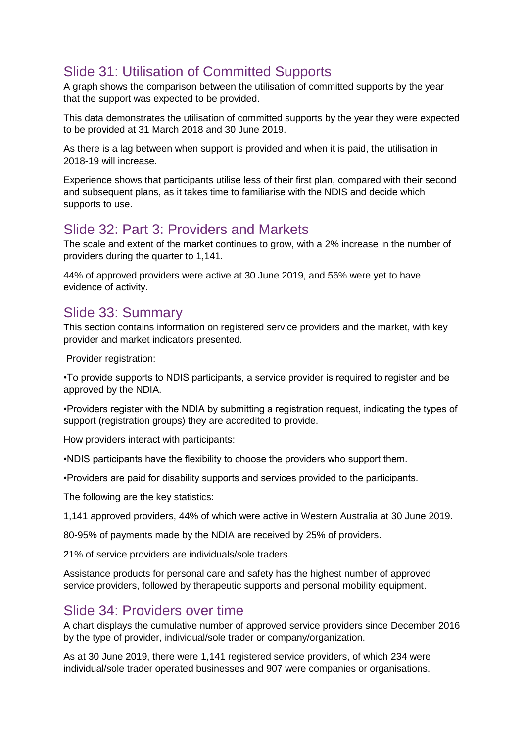# Slide 31: Utilisation of Committed Supports

A graph shows the comparison between the utilisation of committed supports by the year that the support was expected to be provided.

This data demonstrates the utilisation of committed supports by the year they were expected to be provided at 31 March 2018 and 30 June 2019.

As there is a lag between when support is provided and when it is paid, the utilisation in 2018-19 will increase.

Experience shows that participants utilise less of their first plan, compared with their second and subsequent plans, as it takes time to familiarise with the NDIS and decide which supports to use.

#### Slide 32: Part 3: Providers and Markets

The scale and extent of the market continues to grow, with a 2% increase in the number of providers during the quarter to 1,141.

44% of approved providers were active at 30 June 2019, and 56% were yet to have evidence of activity.

#### Slide 33: Summary

This section contains information on registered service providers and the market, with key provider and market indicators presented.

Provider registration:

•To provide supports to NDIS participants, a service provider is required to register and be approved by the NDIA.

•Providers register with the NDIA by submitting a registration request, indicating the types of support (registration groups) they are accredited to provide.

How providers interact with participants:

•NDIS participants have the flexibility to choose the providers who support them.

•Providers are paid for disability supports and services provided to the participants.

The following are the key statistics:

1,141 approved providers, 44% of which were active in Western Australia at 30 June 2019.

80-95% of payments made by the NDIA are received by 25% of providers.

21% of service providers are individuals/sole traders.

Assistance products for personal care and safety has the highest number of approved service providers, followed by therapeutic supports and personal mobility equipment.

#### Slide 34: Providers over time

A chart displays the cumulative number of approved service providers since December 2016 by the type of provider, individual/sole trader or company/organization.

As at 30 June 2019, there were 1,141 registered service providers, of which 234 were individual/sole trader operated businesses and 907 were companies or organisations.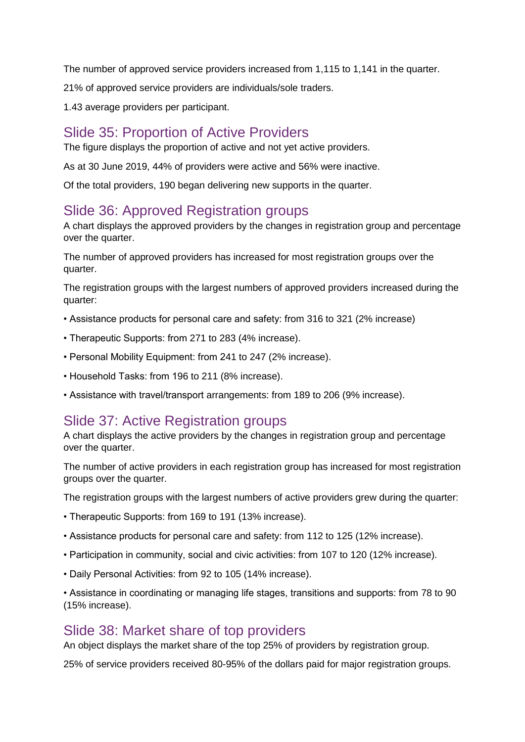The number of approved service providers increased from 1,115 to 1,141 in the quarter.

21% of approved service providers are individuals/sole traders.

1.43 average providers per participant.

## Slide 35: Proportion of Active Providers

The figure displays the proportion of active and not yet active providers.

As at 30 June 2019, 44% of providers were active and 56% were inactive.

Of the total providers, 190 began delivering new supports in the quarter.

## Slide 36: Approved Registration groups

A chart displays the approved providers by the changes in registration group and percentage over the quarter.

The number of approved providers has increased for most registration groups over the quarter.

The registration groups with the largest numbers of approved providers increased during the quarter:

- Assistance products for personal care and safety: from 316 to 321 (2% increase)
- Therapeutic Supports: from 271 to 283 (4% increase).
- Personal Mobility Equipment: from 241 to 247 (2% increase).
- Household Tasks: from 196 to 211 (8% increase).
- Assistance with travel/transport arrangements: from 189 to 206 (9% increase).

## Slide 37: Active Registration groups

A chart displays the active providers by the changes in registration group and percentage over the quarter.

The number of active providers in each registration group has increased for most registration groups over the quarter.

The registration groups with the largest numbers of active providers grew during the quarter:

- Therapeutic Supports: from 169 to 191 (13% increase).
- Assistance products for personal care and safety: from 112 to 125 (12% increase).
- Participation in community, social and civic activities: from 107 to 120 (12% increase).
- Daily Personal Activities: from 92 to 105 (14% increase).

• Assistance in coordinating or managing life stages, transitions and supports: from 78 to 90 (15% increase).

#### Slide 38: Market share of top providers

An object displays the market share of the top 25% of providers by registration group.

25% of service providers received 80-95% of the dollars paid for major registration groups.